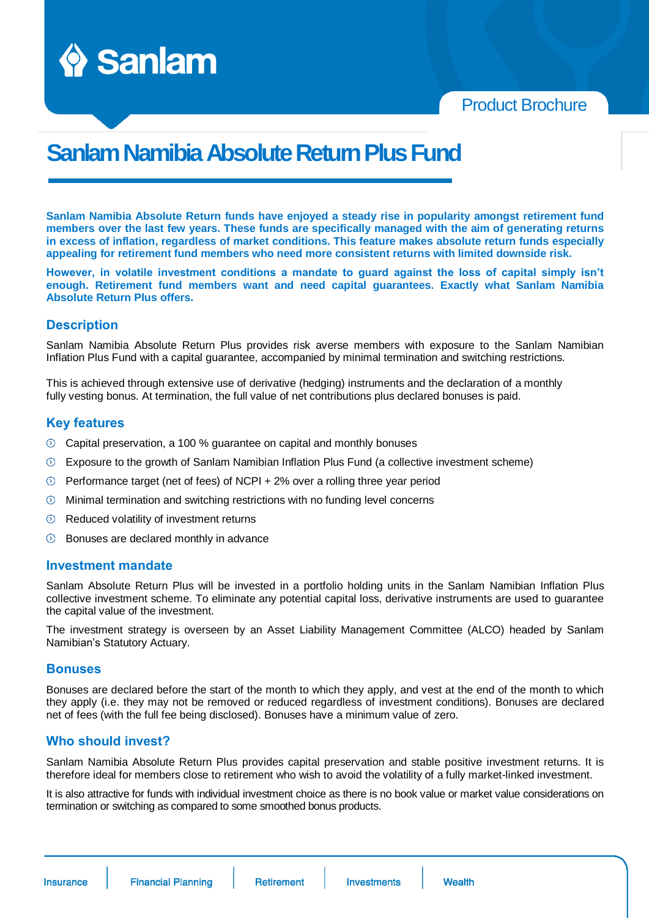

Product Brochure

# **SanlamNamibiaAbsolute Return PlusFund**

**Sanlam Namibia Absolute Return funds have enjoyed a steady rise in popularity amongst retirement fund members over the last few years. These funds are specifically managed with the aim of generating returns in excess of inflation, regardless of market conditions. This feature makes absolute return funds especially appealing for retirement fund members who need more consistent returns with limited downside risk.** 

**However, in volatile investment conditions a mandate to guard against the loss of capital simply isn't enough. Retirement fund members want and need capital guarantees. Exactly what Sanlam Namibia Absolute Return Plus offers.**

### **Description**

Sanlam Namibia Absolute Return Plus provides risk averse members with exposure to the Sanlam Namibian Inflation Plus Fund with a capital guarantee, accompanied by minimal termination and switching restrictions.

This is achieved through extensive use of derivative (hedging) instruments and the declaration of a monthly fully vesting bonus. At termination, the full value of net contributions plus declared bonuses is paid.

### **Key features**

- $\odot$  Capital preservation, a 100 % quarantee on capital and monthly bonuses
- $\circledcirc$ Exposure to the growth of Sanlam Namibian Inflation Plus Fund (a collective investment scheme)
- $\odot$  Performance target (net of fees) of NCPI + 2% over a rolling three year period
- $\circledcirc$ Minimal termination and switching restrictions with no funding level concerns
- $\odot$  Reduced volatility of investment returns
- Bonuses are declared monthly in advance  $\circ$

#### **Investment mandate**

Sanlam Absolute Return Plus will be invested in a portfolio holding units in the Sanlam Namibian Inflation Plus collective investment scheme. To eliminate any potential capital loss, derivative instruments are used to guarantee the capital value of the investment.

The investment strategy is overseen by an Asset Liability Management Committee (ALCO) headed by Sanlam Namibian's Statutory Actuary.

#### **Bonuses**

Bonuses are declared before the start of the month to which they apply, and vest at the end of the month to which they apply (i.e. they may not be removed or reduced regardless of investment conditions). Bonuses are declared net of fees (with the full fee being disclosed). Bonuses have a minimum value of zero.

#### **Who should invest?**

Sanlam Namibia Absolute Return Plus provides capital preservation and stable positive investment returns. It is therefore ideal for members close to retirement who wish to avoid the volatility of a fully market-linked investment.

It is also attractive for funds with individual investment choice as there is no book value or market value considerations on termination or switching as compared to some smoothed bonus products.

Insurance

Wealth